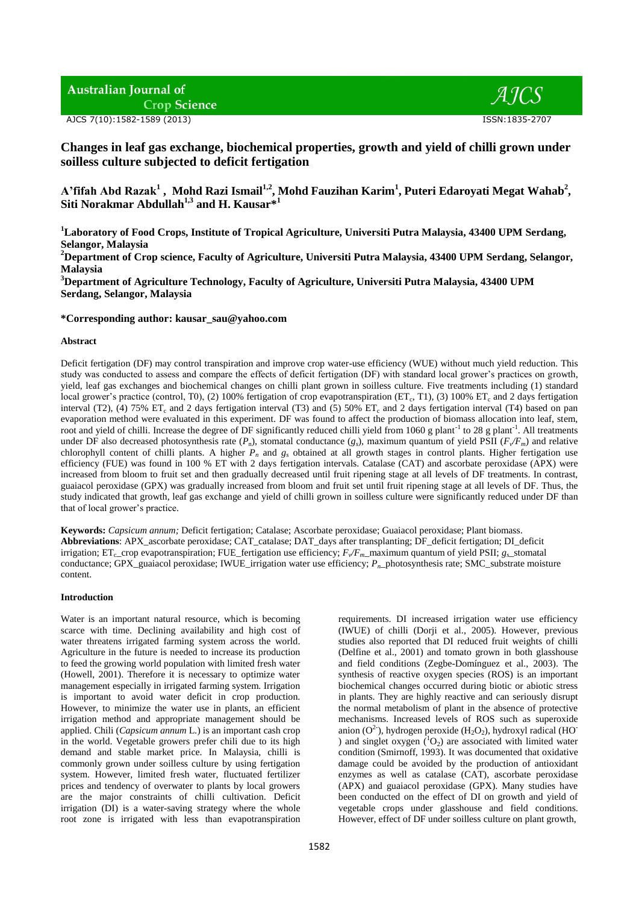**Australian Journal of Crop Science** 

AJCS 7(10):1582-1589 (2013) ISSN:1835-2707

 $ATCS$ 

# **Changes in leaf gas exchange, biochemical properties, growth and yield of chilli grown under soilless culture subjected to deficit fertigation**

**A'fifah Abd Razak<sup>1</sup> , Mohd Razi Ismail1,2 , Mohd Fauzihan Karim<sup>1</sup> , Puteri Edaroyati Megat Wahab<sup>2</sup> , Siti Norakmar Abdullah1,3 and H. Kausar\*<sup>1</sup>**

**<sup>1</sup>Laboratory of Food Crops, Institute of Tropical Agriculture, Universiti Putra Malaysia, 43400 UPM Serdang, Selangor, Malaysia**

**<sup>2</sup>Department of Crop science, Faculty of Agriculture, Universiti Putra Malaysia, 43400 UPM Serdang, Selangor, Malaysia**

**<sup>3</sup>Department of Agriculture Technology, Faculty of Agriculture, Universiti Putra Malaysia, 43400 UPM Serdang, Selangor, Malaysia**

**\*Corresponding author: kausar\_sau@yahoo.com**

# **Abstract**

Deficit fertigation (DF) may control transpiration and improve crop water-use efficiency (WUE) without much yield reduction. This study was conducted to assess and compare the effects of deficit fertigation (DF) with standard local grower's practices on growth, yield, leaf gas exchanges and biochemical changes on chilli plant grown in soilless culture. Five treatments including (1) standard local grower's practice (control, T0), (2) 100% fertigation of crop evapotranspiration (ET<sub>c</sub>, T1), (3) 100% ET<sub>c</sub> and 2 days fertigation interval (T2), (4) 75%  $ET_c$  and 2 days fertigation interval (T3) and (5) 50%  $ET_c$  and 2 days fertigation interval (T4) based on pan evaporation method were evaluated in this experiment. DF was found to affect the production of biomass allocation into leaf, stem, root and yield of chilli. Increase the degree of DF significantly reduced chilli yield from 1060 g plant<sup>-1</sup> to 28 g plant<sup>-1</sup>. All treatments under DF also decreased photosynthesis rate  $(P_n)$ , stomatal conductance  $(g_s)$ , maximum quantum of yield PSII  $(F_v/F_m)$  and relative chlorophyll content of chilli plants. A higher  $P_n$  and  $g_s$  obtained at all growth stages in control plants. Higher fertigation use efficiency (FUE) was found in 100 % ET with 2 days fertigation intervals. Catalase (CAT) and ascorbate peroxidase (APX) were increased from bloom to fruit set and then gradually decreased until fruit ripening stage at all levels of DF treatments. In contrast, guaiacol peroxidase (GPX) was gradually increased from bloom and fruit set until fruit ripening stage at all levels of DF. Thus, the study indicated that growth, leaf gas exchange and yield of chilli grown in soilless culture were significantly reduced under DF than that of local grower's practice.

**Keywords:** *Capsicum annum;* Deficit fertigation; Catalase; Ascorbate peroxidase; Guaiacol peroxidase; Plant biomass. **Abbreviations**: APX\_ascorbate peroxidase; CAT\_catalase; DAT\_days after transplanting; DF\_deficit fertigation; DI\_deficit irrigation; ET<sub>c</sub>\_crop evapotranspiration; FUE\_fertigation use efficiency;  $F_v/F_m$ \_maximum quantum of yield PSII;  $g_s$ \_stomatal conductance; GPX\_guaiacol peroxidase; IWUE\_irrigation water use efficiency; *Pn*\_photosynthesis rate; SMC\_substrate moisture content.

# **Introduction**

Water is an important natural resource, which is becoming scarce with time. Declining availability and high cost of water threatens irrigated farming system across the world. Agriculture in the future is needed to increase its production to feed the growing world population with limited fresh water (Howell, 2001). Therefore it is necessary to optimize water management especially in irrigated farming system. Irrigation is important to avoid water deficit in crop production. However, to minimize the water use in plants, an efficient irrigation method and appropriate management should be applied. Chili (*Capsicum annum* L*.*) is an important cash crop in the world. Vegetable growers prefer chili due to its high demand and stable market price. In Malaysia, chilli is commonly grown under soilless culture by using fertigation system. However, limited fresh water, fluctuated fertilizer prices and tendency of overwater to plants by local growers are the major constraints of chilli cultivation. Deficit irrigation (DI) is a water-saving strategy where the whole root zone is irrigated with less than evapotranspiration

requirements. DI increased irrigation water use efficiency (IWUE) of chilli (Dorji et al., 2005). However, previous studies also reported that DI reduced fruit weights of chilli (Delfine et al., 2001) and tomato grown in both glasshouse and field conditions (Zegbe-Domínguez et al., 2003). The synthesis of reactive oxygen species (ROS) is an important biochemical changes occurred during biotic or abiotic stress in plants. They are highly reactive and can seriously disrupt the normal metabolism of plant in the absence of protective mechanisms. Increased levels of ROS such as superoxide anion ( $O^2$ ), hydrogen peroxide ( $H_2O_2$ ), hydroxyl radical (HO<sup>-</sup> ) and singlet oxygen  $(^{1}O_{2})$  are associated with limited water condition (Smirnoff, 1993). It was documented that oxidative damage could be avoided by the production of antioxidant enzymes as well as catalase (CAT), ascorbate peroxidase (APX) and guaiacol peroxidase (GPX). Many studies have been conducted on the effect of DI on growth and yield of vegetable crops under glasshouse and field conditions. However, effect of DF under soilless culture on plant growth,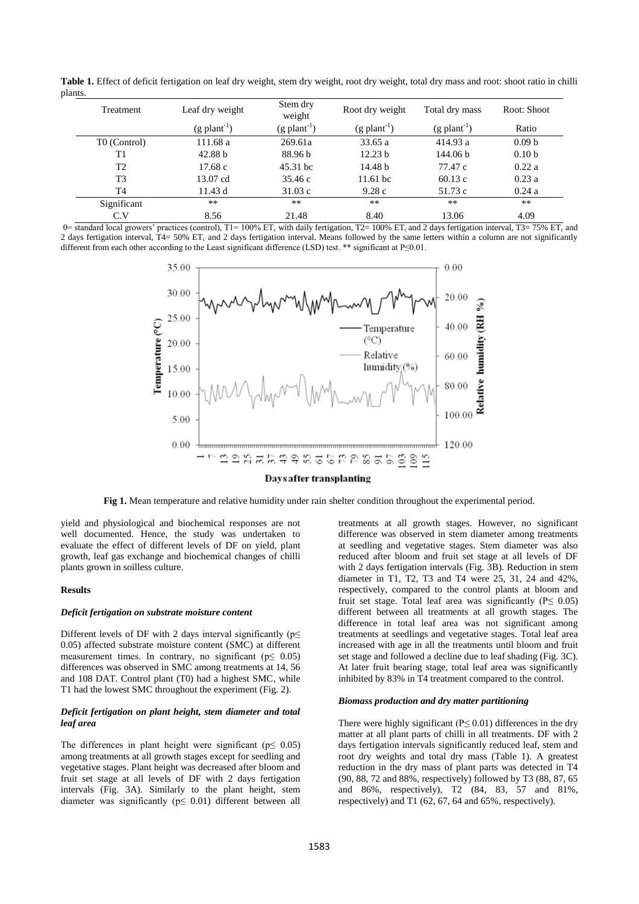**Table 1.** Effect of deficit fertigation on leaf dry weight, stem dry weight, root dry weight, total dry mass and root: shoot ratio in chilli plants.

| Treatment                | Leaf dry weight            | Stem dry<br>weight         | Root dry weight            | Total dry mass             | Root: Shoot       |
|--------------------------|----------------------------|----------------------------|----------------------------|----------------------------|-------------------|
|                          | $(g$ plant <sup>-1</sup> ) | $(g$ plant <sup>-1</sup> ) | $(g$ plant <sup>-1</sup> ) | $(g$ plant <sup>-1</sup> ) | Ratio             |
| T <sub>0</sub> (Control) | 111.68 a                   | 269.61a                    | 33.65 a                    | 414.93 a                   | 0.09 <sub>b</sub> |
| T1                       | 42.88 b                    | 88.96 b                    | 12.23 b                    | 144.06 b                   | 0.10 <sub>b</sub> |
| T <sub>2</sub>           | 17.68 c                    | 45.31 bc                   | 14.48 b                    | 77.47 c                    | 0.22a             |
| T <sub>3</sub>           | 13.07 cd                   | 35.46 c                    | $11.61$ bc                 | 60.13c                     | 0.23a             |
| T4                       | 11.43d                     | 31.03c                     | 9.28c                      | 51.73 c                    | 0.24a             |
| Significant              | $**$                       | $***$                      | $***$                      | $**$                       | **                |
| C.V                      | 8.56                       | 21.48                      | 8.40                       | 13.06                      | 4.09              |

0= standard local growers' practices (control), T1= 100% ET<sub>c</sub> with daily fertigation, T2= 100% ET<sub>c</sub> and 2 days fertigation interval, T3= 75% ET<sub>c</sub> and 2 days fertigation interval, T4= 50% ET<sub>c</sub> and 2 days fertigation interval. Means followed by the same letters within a column are not significantly different from each other according to the Least significant difference (LSD) test. \*\* significant at P≤0.01.



#### Days after transplanting

**Fig 1.** Mean temperature and relative humidity under rain shelter condition throughout the experimental period.

yield and physiological and biochemical responses are not well documented. Hence, the study was undertaken to evaluate the effect of different levels of DF on yield, plant growth, leaf gas exchange and biochemical changes of chilli plants grown in soilless culture.

#### **Results**

#### *Deficit fertigation on substrate moisture content*

Different levels of DF with 2 days interval significantly ( $p \leq$ 0.05) affected substrate moisture content (SMC) at different measurement times. In contrary, no significant ( $p \leq 0.05$ ) differences was observed in SMC among treatments at 14, 56 and 108 DAT. Control plant (T0) had a highest SMC, while T1 had the lowest SMC throughout the experiment (Fig. 2).

### *Deficit fertigation on plant height, stem diameter and total leaf area*

The differences in plant height were significant ( $p \leq 0.05$ ) among treatments at all growth stages except for seedling and vegetative stages. Plant height was decreased after bloom and fruit set stage at all levels of DF with 2 days fertigation intervals (Fig. 3A). Similarly to the plant height, stem diameter was significantly ( $p \leq 0.01$ ) different between all

treatments at all growth stages. However, no significant difference was observed in stem diameter among treatments at seedling and vegetative stages. Stem diameter was also reduced after bloom and fruit set stage at all levels of DF with 2 days fertigation intervals (Fig. 3B). Reduction in stem diameter in T1, T2, T3 and T4 were 25, 31, 24 and 42%, respectively, compared to the control plants at bloom and fruit set stage. Total leaf area was significantly ( $P \leq 0.05$ ) different between all treatments at all growth stages. The difference in total leaf area was not significant among treatments at seedlings and vegetative stages. Total leaf area increased with age in all the treatments until bloom and fruit set stage and followed a decline due to leaf shading (Fig. 3C). At later fruit bearing stage, total leaf area was significantly inhibited by 83% in T4 treatment compared to the control.

#### *Biomass production and dry matter partitioning*

There were highly significant ( $P \le 0.01$ ) differences in the dry matter at all plant parts of chilli in all treatments. DF with 2 days fertigation intervals significantly reduced leaf, stem and root dry weights and total dry mass (Table 1). A greatest reduction in the dry mass of plant parts was detected in T4 (90, 88, 72 and 88%, respectively) followed by T3 (88, 87, 65 and 86%, respectively), T2 (84, 83, 57 and 81%, respectively) and T1 (62, 67, 64 and 65%, respectively).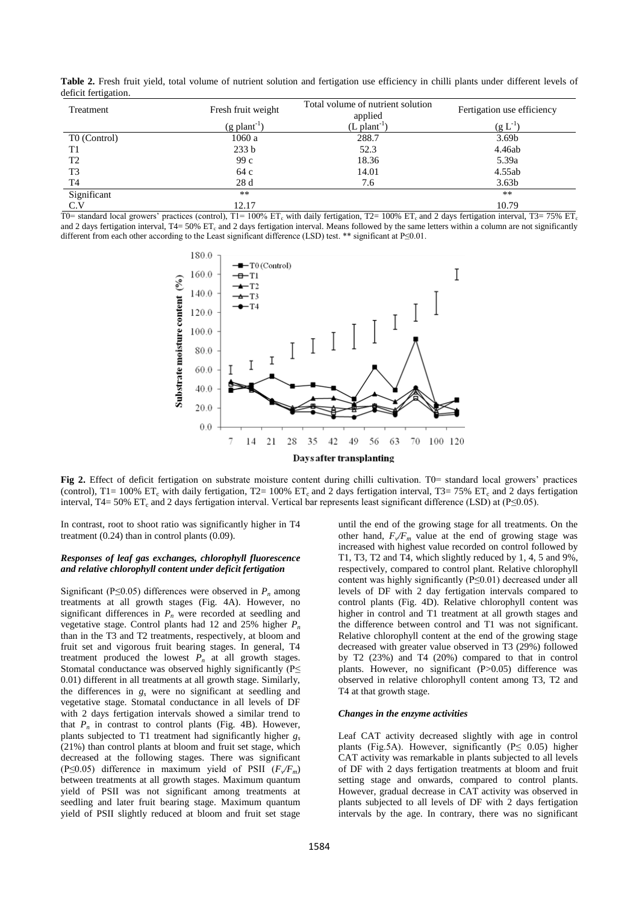**Table 2.** Fresh fruit yield, total volume of nutrient solution and fertigation use efficiency in chilli plants under different levels of deficit fertigation.

| Treatment      | Fresh fruit weight         | Total volume of nutrient solution<br>applied | Fertigation use efficiency |
|----------------|----------------------------|----------------------------------------------|----------------------------|
|                | $(g$ plant <sup>-1</sup> ) | $(L$ plant <sup>-1</sup>                     | $(g L^{-1})$               |
| T0 (Control)   | 1060 a                     | 288.7                                        | 3.69 <sub>b</sub>          |
| T1             | 233 <sub>b</sub>           | 52.3                                         | 4.46ab                     |
| T <sub>2</sub> | 99c                        | 18.36                                        | 5.39a                      |
| T <sub>3</sub> | 64 c                       | 14.01                                        | 4.55ab                     |
| T <sub>4</sub> | 28d                        | 7.6                                          | 3.63 <sub>b</sub>          |
| Significant    | $***$                      |                                              | $**$                       |
| C.V            | 12.17                      |                                              | 10.79                      |

T0= standard local growers' practices (control), T1= 100% ET<sub>c</sub> with daily fertigation, T2= 100% ET<sub>c</sub> and 2 days fertigation interval, T3= 75% ET<sub>c</sub> and 2 days fertigation interval,  $T4 = 50\%$  ET<sub>c</sub> and 2 days fertigation interval. Means followed by the same letters within a column are not significantly different from each other according to the Least significant difference (LSD) test. \*\* significant at P≤0.01.



**Fig 2.** Effect of deficit fertigation on substrate moisture content during chilli cultivation. T0= standard local growers' practices (control),  $T1 = 100\%$  ET<sub>c</sub> with daily fertigation,  $T2 = 100\%$  ET<sub>c</sub> and 2 days fertigation interval,  $T3 = 75\%$  ET<sub>c</sub> and 2 days fertigation interval, T4= 50% ET<sub>c</sub> and 2 days fertigation interval. Vertical bar represents least significant difference (LSD) at (P≤0.05).

In contrast, root to shoot ratio was significantly higher in T4 treatment (0.24) than in control plants (0.09).

# *Responses of leaf gas exchanges, chlorophyll fluorescence and relative chlorophyll content under deficit fertigation*

Significant (P≤0.05) differences were observed in  $P_n$  among treatments at all growth stages (Fig. 4A). However, no significant differences in  $P_n$  were recorded at seedling and vegetative stage. Control plants had 12 and 25% higher  $P_n$ than in the T3 and T2 treatments, respectively, at bloom and fruit set and vigorous fruit bearing stages. In general, T4 treatment produced the lowest  $P_n$  at all growth stages. Stomatal conductance was observed highly significantly (P≤ 0.01) different in all treatments at all growth stage. Similarly, the differences in *g<sup>s</sup>* were no significant at seedling and vegetative stage. Stomatal conductance in all levels of DF with 2 days fertigation intervals showed a similar trend to that  $P_n$  in contrast to control plants (Fig. 4B). However, plants subjected to T1 treatment had significantly higher *g<sup>s</sup>* (21%) than control plants at bloom and fruit set stage, which decreased at the following stages. There was significant (P≤0.05) difference in maximum yield of PSII (*F<sup>v</sup> /Fm*) between treatments at all growth stages. Maximum quantum yield of PSII was not significant among treatments at seedling and later fruit bearing stage. Maximum quantum yield of PSII slightly reduced at bloom and fruit set stage

until the end of the growing stage for all treatments. On the other hand,  $F_v/F_m$  value at the end of growing stage was increased with highest value recorded on control followed by T1, T3, T2 and T4, which slightly reduced by 1, 4, 5 and 9%, respectively, compared to control plant. Relative chlorophyll content was highly significantly (P≤0.01) decreased under all levels of DF with 2 day fertigation intervals compared to control plants (Fig. 4D). Relative chlorophyll content was higher in control and T1 treatment at all growth stages and the difference between control and T1 was not significant. Relative chlorophyll content at the end of the growing stage decreased with greater value observed in T3 (29%) followed by T2 (23%) and T4 (20%) compared to that in control plants. However, no significant (P>0.05) difference was observed in relative chlorophyll content among T3, T2 and T4 at that growth stage.

## *Changes in the enzyme activities*

Leaf CAT activity decreased slightly with age in control plants (Fig.5A). However, significantly ( $P \leq 0.05$ ) higher CAT activity was remarkable in plants subjected to all levels of DF with 2 days fertigation treatments at bloom and fruit setting stage and onwards, compared to control plants. However, gradual decrease in CAT activity was observed in plants subjected to all levels of DF with 2 days fertigation intervals by the age. In contrary, there was no significant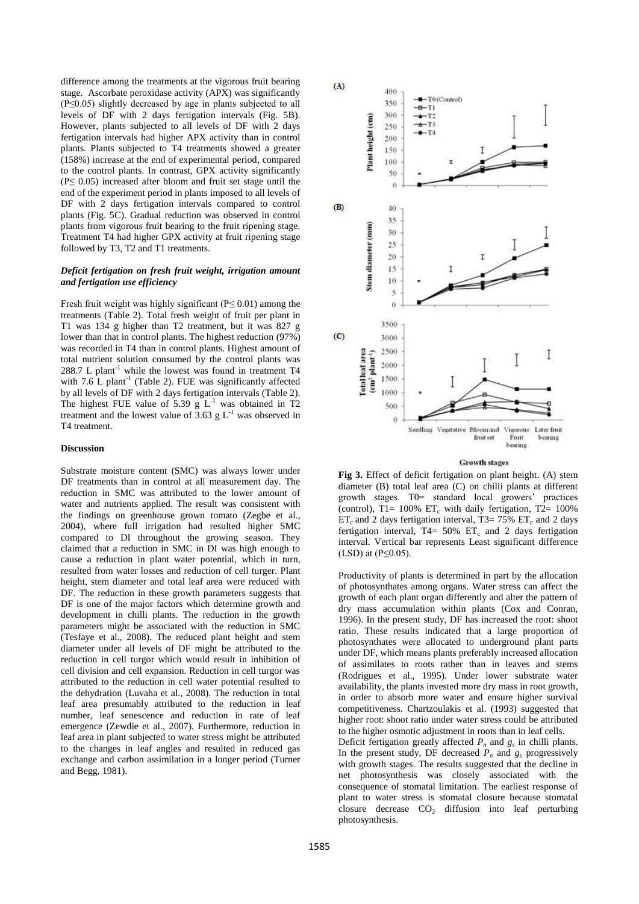difference among the treatments at the vigorous fruit bearing stage. Ascorbate peroxidase activity (APX) was significantly (P≤0.05) slightly decreased by age in plants subjected to all levels of DF with 2 days fertigation intervals (Fig. 5B). However, plants subjected to all levels of DF with 2 days fertigation intervals had higher APX activity than in control plants. Plants subjected to T4 treatments showed a greater (158%) increase at the end of experimental period, compared to the control plants. In contrast, GPX activity significantly  $(P \le 0.05)$  increased after bloom and fruit set stage until the end of the experiment period in plants imposed to all levels of DF with 2 days fertigation intervals compared to control plants (Fig. 5C). Gradual reduction was observed in control plants from vigorous fruit bearing to the fruit ripening stage. Treatment T4 had higher GPX activity at fruit ripening stage followed by T3, T2 and T1 treatments.

# *Deficit fertigation on fresh fruit weight, irrigation amount and fertigation use efficiency*

Fresh fruit weight was highly significant ( $P \le 0.01$ ) among the treatments (Table 2). Total fresh weight of fruit per plant in T1 was 134 g higher than T2 treatment, but it was 827 g lower than that in control plants. The highest reduction (97%) was recorded in T4 than in control plants. Highest amount of total nutrient solution consumed by the control plants was 288.7 L plant<sup>-1</sup> while the lowest was found in treatment  $T4$ with  $7.6$  L plant<sup>-1</sup> (Table 2). FUE was significantly affected by all levels of DF with 2 days fertigation intervals (Table 2). The highest FUE value of 5.39  $g L<sup>-1</sup>$  was obtained in T2 treatment and the lowest value of  $3.63$  g L<sup>-1</sup> was observed in T4 treatment.

## **Discussion**

Substrate moisture content (SMC) was always lower under DF treatments than in control at all measurement day. The reduction in SMC was attributed to the lower amount of water and nutrients applied. The result was consistent with the findings on greenhouse grown tomato (Zegbe et al., 2004), where full irrigation had resulted higher SMC compared to DI throughout the growing season. They claimed that a reduction in SMC in DI was high enough to cause a reduction in plant water potential, which in turn, resulted from water losses and reduction of cell turger. Plant height, stem diameter and total leaf area were reduced with DF. The reduction in these growth parameters suggests that DF is one of the major factors which determine growth and development in chilli plants. The reduction in the growth parameters might be associated with the reduction in SMC (Tesfaye et al., 2008). The reduced plant height and stem diameter under all levels of DF might be attributed to the reduction in cell turgor which would result in inhibition of cell division and cell expansion. Reduction in cell turgor was attributed to the reduction in cell water potential resulted to the dehydration (Luvaha et al., 2008). The reduction in total leaf area presumably attributed to the reduction in leaf number, leaf senescence and reduction in rate of leaf emergence (Zewdie et al., 2007). Furthermore, reduction in leaf area in plant subjected to water stress might be attributed to the changes in leaf angles and resulted in reduced gas exchange and carbon assimilation in a longer period (Turner and Begg, 1981).



#### **Growth stages**

**Fig 3.** Effect of deficit fertigation on plant height. (A) stem diameter (B) total leaf area (C) on chilli plants at different growth stages. T0= standard local growers' practices (control), T1=  $100\%$  ET<sub>c</sub> with daily fertigation, T2=  $100\%$  $ET_c$  and 2 days fertigation interval, T3= 75%  $ET_c$  and 2 days fertigation interval, T4=  $50\%$  ET<sub>c</sub> and 2 days fertigation interval. Vertical bar represents Least significant difference  $(LSD)$  at  $(P \leq 0.05)$ .

Productivity of plants is determined in part by the allocation of photosynthates among organs. Water stress can affect the growth of each plant organ differently and alter the pattern of dry mass accumulation within plants (Cox and Conran, 1996). In the present study, DF has increased the root: shoot ratio. These results indicated that a large proportion of photosynthates were allocated to underground plant parts under DF, which means plants preferably increased allocation of assimilates to roots rather than in leaves and stems (Rodrigues et al., 1995). Under lower substrate water availability, the plants invested more dry mass in root growth, in order to absorb more water and ensure higher survival competitiveness. Chartzoulakis et al. (1993) suggested that higher root: shoot ratio under water stress could be attributed to the higher osmotic adjustment in roots than in leaf cells.

Deficit fertigation greatly affected  $P_n$  and  $g_s$  in chilli plants. In the present study, DF decreased  $P_n$  and  $g_s$  progressively with growth stages. The results suggested that the decline in net photosynthesis was closely associated with the consequence of stomatal limitation. The earliest response of plant to water stress is stomatal closure because stomatal closure decrease  $CO<sub>2</sub>$  diffusion into leaf perturbing photosynthesis.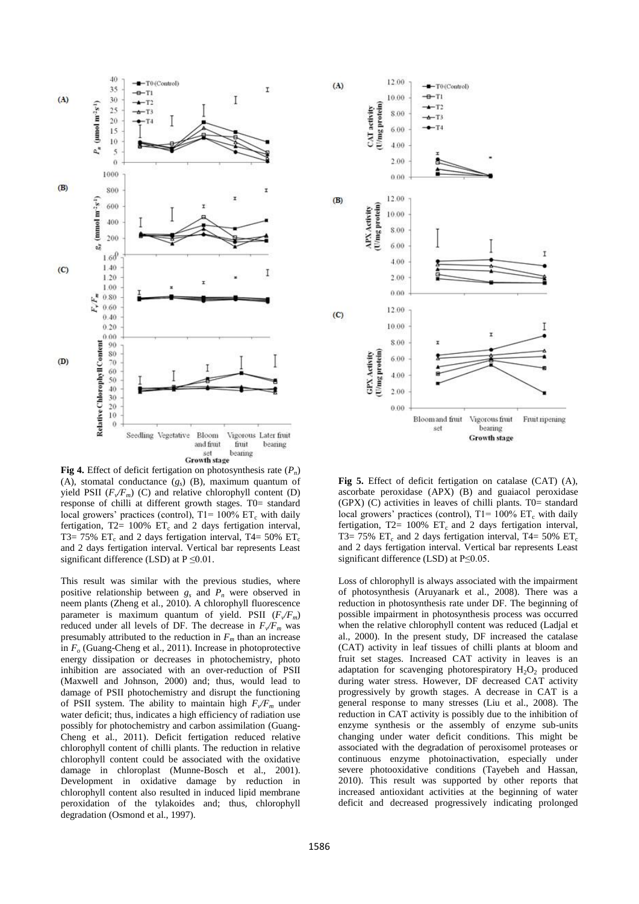

**Fig 4.** Effect of deficit fertigation on photosynthesis rate (*P<sup>n</sup>* ) (A), stomatal conductance  $(g_s)$  (B), maximum quantum of yield PSII  $(F_v/F_m)$  (C) and relative chlorophyll content (D) response of chilli at different growth stages. T0= standard local growers' practices (control),  $T1 = 100\% \text{ ET}_c$  with daily fertigation,  $T2 = 100\%$   $ET_c$  and 2 days fertigation interval, T3= 75%  $ET_c$  and 2 days fertigation interval, T4= 50%  $ET_c$ and 2 days fertigation interval. Vertical bar represents Least significant difference (LSD) at  $P \le 0.01$ .

This result was similar with the previous studies, where positive relationship between *g<sup>s</sup>* and *P<sup>n</sup>* were observed in neem plants (Zheng et al., 2010). A chlorophyll fluorescence parameter is maximum quantum of yield. PSII  $(F\sqrt{F_m})$ reduced under all levels of DF. The decrease in  $F_v/F_m$  was presumably attributed to the reduction in  $F<sub>m</sub>$  than an increase in *F<sup>o</sup>* (Guang-Cheng et al., 2011). Increase in photoprotective energy dissipation or decreases in photochemistry, photo inhibition are associated with an over-reduction of PSII (Maxwell and Johnson, 2000) and; thus, would lead to damage of PSII photochemistry and disrupt the functioning of PSII system. The ability to maintain high  $F_v/F_m$  under water deficit; thus, indicates a high efficiency of radiation use possibly for photochemistry and carbon assimilation (Guang-Cheng et al., 2011). Deficit fertigation reduced relative chlorophyll content of chilli plants. The reduction in relative chlorophyll content could be associated with the oxidative damage in chloroplast (Munne-Bosch et al., 2001). Development in oxidative damage by reduction in chlorophyll content also resulted in induced lipid membrane peroxidation of the tylakoides and; thus, chlorophyll degradation (Osmond et al., 1997).



**Fig 5.** Effect of deficit fertigation on catalase (CAT) (A), ascorbate peroxidase (APX) (B) and guaiacol peroxidase  $(GPX)$  (C) activities in leaves of chilli plants. T0= standard local growers' practices (control),  $T1 = 100\% \text{ ET}_{c}$  with daily fertigation,  $T2 = 100\%$   $ET_c$  and 2 days fertigation interval, T3= 75% ET<sub>c</sub> and 2 days fertigation interval, T4= 50% ET<sub>c</sub> and 2 days fertigation interval. Vertical bar represents Least significant difference (LSD) at P≤0.05.

Loss of chlorophyll is always associated with the impairment of photosynthesis (Aruyanark et al., 2008). There was a reduction in photosynthesis rate under DF. The beginning of possible impairment in photosynthesis process was occurred when the relative chlorophyll content was reduced (Ladjal et al., 2000). In the present study, DF increased the catalase (CAT) activity in leaf tissues of chilli plants at bloom and fruit set stages. Increased CAT activity in leaves is an adaptation for scavenging photorespiratory  $H_2O_2$  produced during water stress. However, DF decreased CAT activity progressively by growth stages. A decrease in CAT is a general response to many stresses (Liu et al., 2008). The reduction in CAT activity is possibly due to the inhibition of enzyme synthesis or the assembly of enzyme sub-units changing under water deficit conditions. This might be associated with the degradation of peroxisomel proteases or continuous enzyme photoinactivation, especially under severe photooxidative conditions (Tayebeh and Hassan, 2010). This result was supported by other reports that increased antioxidant activities at the beginning of water deficit and decreased progressively indicating prolonged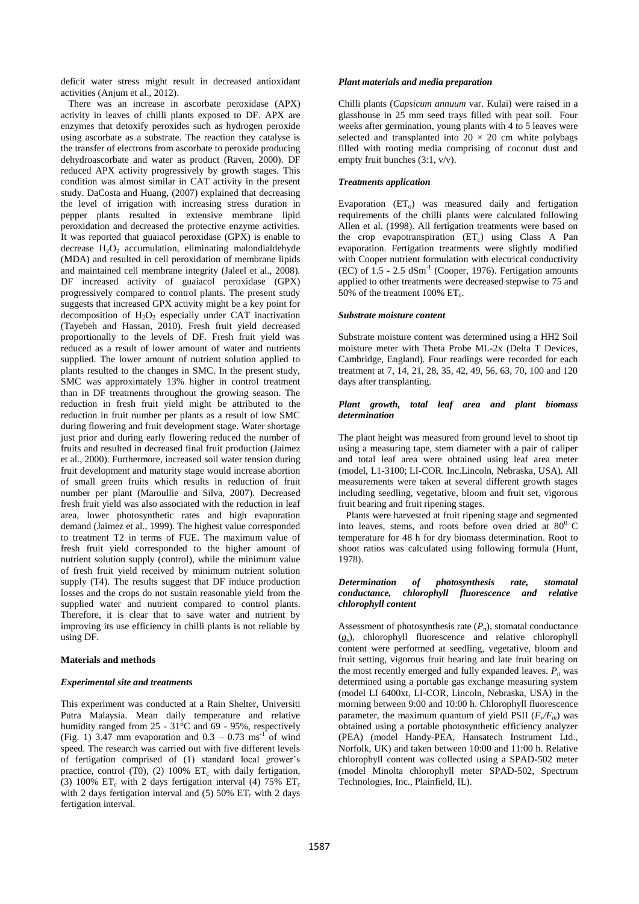deficit water stress might result in decreased antioxidant activities (Anjum et al., 2012).

There was an increase in ascorbate peroxidase (APX) activity in leaves of chilli plants exposed to DF. APX are enzymes that detoxify peroxides such as hydrogen peroxide using ascorbate as a substrate. The reaction they catalyse is the transfer of electrons from ascorbate to peroxide producing dehydroascorbate and water as product (Raven, 2000). DF reduced APX activity progressively by growth stages. This condition was almost similar in CAT activity in the present study. DaCosta and Huang, (2007) explained that decreasing the level of irrigation with increasing stress duration in pepper plants resulted in extensive membrane lipid peroxidation and decreased the protective enzyme activities. It was reported that guaiacol peroxidase (GPX) is enable to decrease  $H_2O_2$  accumulation, eliminating malondialdehyde (MDA) and resulted in cell peroxidation of membrane lipids and maintained cell membrane integrity (Jaleel et al., 2008). DF increased activity of guaiacol peroxidase (GPX) progressively compared to control plants. The present study suggests that increased GPX activity might be a key point for decomposition of  $H_2O_2$  especially under CAT inactivation (Tayebeh and Hassan, 2010). Fresh fruit yield decreased proportionally to the levels of DF. Fresh fruit yield was reduced as a result of lower amount of water and nutrients supplied. The lower amount of nutrient solution applied to plants resulted to the changes in SMC. In the present study, SMC was approximately 13% higher in control treatment than in DF treatments throughout the growing season. The reduction in fresh fruit yield might be attributed to the reduction in fruit number per plants as a result of low SMC during flowering and fruit development stage. Water shortage just prior and during early flowering reduced the number of fruits and resulted in decreased final fruit production (Jaimez et al., 2000). Furthermore, increased soil water tension during fruit development and maturity stage would increase abortion of small green fruits which results in reduction of fruit number per plant (Maroullie and Silva, 2007). Decreased fresh fruit yield was also associated with the reduction in leaf area, lower photosynthetic rates and high evaporation demand (Jaimez et al., 1999). The highest value corresponded to treatment T2 in terms of FUE. The maximum value of fresh fruit yield corresponded to the higher amount of nutrient solution supply (control), while the minimum value of fresh fruit yield received by minimum nutrient solution supply (T4). The results suggest that DF induce production losses and the crops do not sustain reasonable yield from the supplied water and nutrient compared to control plants. Therefore, it is clear that to save water and nutrient by improving its use efficiency in chilli plants is not reliable by using DF.

# **Materials and methods**

## *Experimental site and treatments*

This experiment was conducted at a Rain Shelter, Universiti Putra Malaysia. Mean daily temperature and relative humidity ranged from  $25 - 31^{\circ}$ C and 69 - 95%, respectively (Fig. 1) 3.47 mm evaporation and  $0.3 - 0.73$  ms<sup>-1</sup> of wind speed. The research was carried out with five different levels of fertigation comprised of (1) standard local grower's practice, control (T0), (2) 100%  $ET_c$  with daily fertigation, (3) 100% ET<sub>c</sub> with 2 days fertigation interval (4) 75% ET<sub>c</sub> with 2 days fertigation interval and (5) 50%  $ET_c$  with 2 days fertigation interval.

## *Plant materials and media preparation*

Chilli plants (*Capsicum annuum* var. Kulai) were raised in a glasshouse in 25 mm seed trays filled with peat soil. Four weeks after germination, young plants with 4 to 5 leaves were selected and transplanted into  $20 \times 20$  cm white polybags filled with rooting media comprising of coconut dust and empty fruit bunches (3:1, v/v).

# *Treatments application*

Evaporation  $(ET_0)$  was measured daily and fertigation requirements of the chilli plants were calculated following Allen et al. (1998). All fertigation treatments were based on the crop evapotranspiration  $(ET_c)$  using Class A Pan evaporation. Fertigation treatments were slightly modified with Cooper nutrient formulation with electrical conductivity  $(EC)$  of  $1.5 - 2.5$  dSm<sup>-1</sup> (Cooper, 1976). Fertigation amounts applied to other treatments were decreased stepwise to 75 and 50% of the treatment 100%  $ET_c$ .

# *Substrate moisture content*

Substrate moisture content was determined using a HH2 Soil moisture meter with Theta Probe ML-2x (Delta T Devices, Cambridge, England). Four readings were recorded for each treatment at 7, 14, 21, 28, 35, 42, 49, 56, 63, 70, 100 and 120 days after transplanting.

# *Plant growth, total leaf area and plant biomass determination*

The plant height was measured from ground level to shoot tip using a measuring tape, stem diameter with a pair of caliper and total leaf area were obtained using leaf area meter (model, L1-3100; LI-COR. Inc.Lincoln, Nebraska, USA). All measurements were taken at several different growth stages including seedling, vegetative, bloom and fruit set, vigorous fruit bearing and fruit ripening stages.

Plants were harvested at fruit ripening stage and segmented into leaves, stems, and roots before oven dried at  $80^{\circ}$  C temperature for 48 h for dry biomass determination. Root to shoot ratios was calculated using following formula (Hunt, 1978).

# *Determination of photosynthesis rate, stomatal conductance, chlorophyll fluorescence and relative chlorophyll content*

Assessment of photosynthesis rate  $(P_n)$ , stomatal conductance (*gs* ), chlorophyll fluorescence and relative chlorophyll content were performed at seedling, vegetative, bloom and fruit setting, vigorous fruit bearing and late fruit bearing on the most recently emerged and fully expanded leaves.  $P_n$  was determined using a portable gas exchange measuring system (model LI 6400xt, LI-COR, Lincoln, Nebraska, USA) in the morning between 9:00 and 10:00 h. Chlorophyll fluorescence parameter, the maximum quantum of yield PSII  $(F\sqrt{F_m})$  was obtained using a portable photosynthetic efficiency analyzer (PEA) (model Handy-PEA, Hansatech Instrument Ltd., Norfolk, UK) and taken between 10:00 and 11:00 h. Relative chlorophyll content was collected using a SPAD-502 meter (model Minolta chlorophyll meter SPAD-502, Spectrum Technologies, Inc., Plainfield, IL).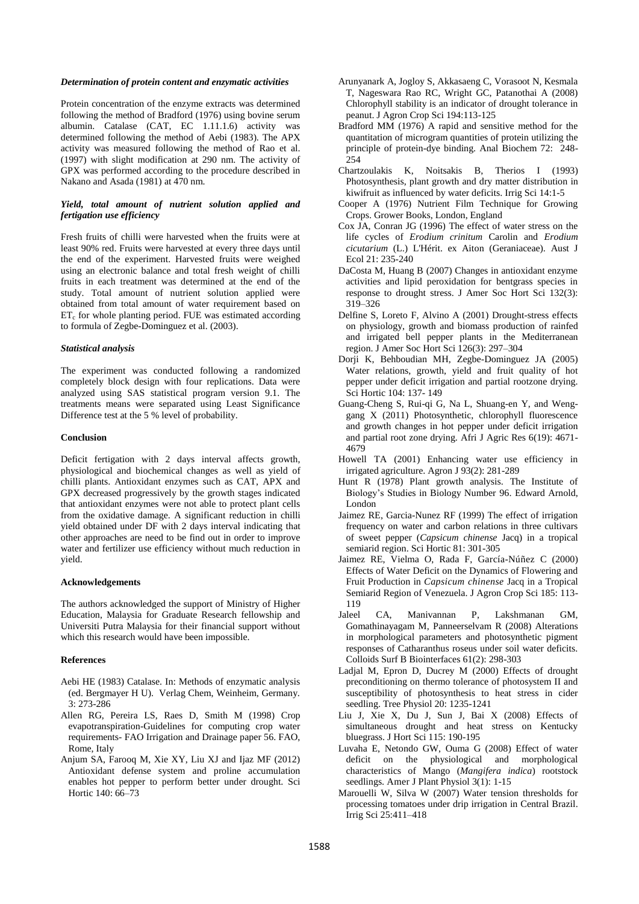#### *Determination of protein content and enzymatic activities*

Protein concentration of the enzyme extracts was determined following the method of Bradford (1976) using bovine serum albumin. Catalase (CAT, EC 1.11.1.6) activity was determined following the method of Aebi (1983). The APX activity was measured following the method of Rao et al. (1997) with slight modification at 290 nm. The activity of GPX was performed according to the procedure described in Nakano and Asada (1981) at 470 nm.

# *Yield, total amount of nutrient solution applied and fertigation use efficiency*

Fresh fruits of chilli were harvested when the fruits were at least 90% red. Fruits were harvested at every three days until the end of the experiment. Harvested fruits were weighed using an electronic balance and total fresh weight of chilli fruits in each treatment was determined at the end of the study. Total amount of nutrient solution applied were obtained from total amount of water requirement based on ET<sub>c</sub> for whole planting period. FUE was estimated according to formula of Zegbe-Dominguez et al. (2003).

## *Statistical analysis*

The experiment was conducted following a randomized completely block design with four replications. Data were analyzed using SAS statistical program version 9.1. The treatments means were separated using Least Significance Difference test at the 5 % level of probability.

#### **Conclusion**

Deficit fertigation with 2 days interval affects growth, physiological and biochemical changes as well as yield of chilli plants. Antioxidant enzymes such as CAT, APX and GPX decreased progressively by the growth stages indicated that antioxidant enzymes were not able to protect plant cells from the oxidative damage. A significant reduction in chilli yield obtained under DF with 2 days interval indicating that other approaches are need to be find out in order to improve water and fertilizer use efficiency without much reduction in yield.

## **Acknowledgements**

The authors acknowledged the support of Ministry of Higher Education, Malaysia for Graduate Research fellowship and Universiti Putra Malaysia for their financial support without which this research would have been impossible.

#### **References**

- Aebi HE (1983) Catalase. In: Methods of enzymatic analysis (ed. Bergmayer H U). Verlag Chem, Weinheim, Germany. 3: 273-286
- Allen RG, Pereira LS, Raes D, Smith M (1998) Crop evapotranspiration-Guidelines for computing crop water requirements- FAO Irrigation and Drainage paper 56. FAO, Rome, Italy
- Anjum SA, Farooq M, Xie XY, Liu XJ and Ijaz MF (2012) Antioxidant defense system and proline accumulation enables hot pepper to perform better under drought. Sci Hortic 140: 66–73
- Arunyanark A, Jogloy S, Akkasaeng C, Vorasoot N, Kesmala T, Nageswara Rao RC, Wright GC, Patanothai A (2008) Chlorophyll stability is an indicator of drought tolerance in peanut. J Agron Crop Sci 194:113-125
- Bradford MM (1976) A rapid and sensitive method for the quantitation of microgram quantities of protein utilizing the principle of protein-dye binding. Anal Biochem 72: 248- 254
- Chartzoulakis K, Noitsakis B, Therios I (1993) Photosynthesis, plant growth and dry matter distribution in kiwifruit as influenced by water deficits. Irrig Sci 14:1-5
- Cooper A (1976) Nutrient Film Technique for Growing Crops. Grower Books, London, England
- Cox JA, Conran JG (1996) The effect of water stress on the life cycles of *Erodium crinitum* Carolin and *Erodium cicutarium* (L.) L'Hérit. ex Aiton (Geraniaceae). Aust J Ecol 21: 235-240
- DaCosta M, Huang B (2007) Changes in antioxidant enzyme activities and lipid peroxidation for bentgrass species in response to drought stress. J Amer Soc Hort Sci 132(3): 319–326
- Delfine S, Loreto F, Alvino A (2001) Drought-stress effects on physiology, growth and biomass production of rainfed and irrigated bell pepper plants in the Mediterranean region. J Amer Soc Hort Sci 126(3): 297–304
- Dorji K, Behboudian MH, Zegbe-Dominguez JA (2005) Water relations, growth, yield and fruit quality of hot pepper under deficit irrigation and partial rootzone drying. Sci Hortic 104: 137- 149
- Guang-Cheng S, Rui-qi G, Na L, Shuang-en Y, and Wenggang X (2011) Photosynthetic, chlorophyll fluorescence and growth changes in hot pepper under deficit irrigation and partial root zone drying. Afri J Agric Res 6(19): 4671- 4679
- Howell TA (2001) Enhancing water use efficiency in irrigated agriculture. Agron J 93(2): 281-289
- Hunt R (1978) Plant growth analysis. The Institute of Biology's Studies in Biology Number 96. Edward Arnold, London
- Jaimez RE, Garcia-Nunez RF (1999) The effect of irrigation frequency on water and carbon relations in three cultivars of sweet pepper (*Capsicum chinense* Jacq) in a tropical semiarid region. Sci Hortic 81: 301-305
- Jaimez RE, Vielma O, Rada F, García-Núñez C (2000) Effects of Water Deficit on the Dynamics of Flowering and Fruit Production in *Capsicum chinense* Jacq in a Tropical Semiarid Region of Venezuela. J Agron Crop Sci 185: 113- 119
- [Jaleel CA,](http://www.ncbi.nlm.nih.gov/pubmed?term=Jaleel%20CA%5BAuthor%5D&cauthor=true&cauthor_uid=17949951) [Manivannan P,](http://www.ncbi.nlm.nih.gov/pubmed?term=Manivannan%20P%5BAuthor%5D&cauthor=true&cauthor_uid=17949951) [Lakshmanan GM,](http://www.ncbi.nlm.nih.gov/pubmed?term=Lakshmanan%20GM%5BAuthor%5D&cauthor=true&cauthor_uid=17949951)  [Gomathinayagam M,](http://www.ncbi.nlm.nih.gov/pubmed?term=Gomathinayagam%20M%5BAuthor%5D&cauthor=true&cauthor_uid=17949951) [Panneerselvam R](http://www.ncbi.nlm.nih.gov/pubmed?term=Panneerselvam%20R%5BAuthor%5D&cauthor=true&cauthor_uid=17949951) (2008) Alterations in morphological parameters and photosynthetic pigment responses of Catharanthus roseus under soil water deficits. Colloids Surf B Biointerfaces 61(2): 298-303
- Ladjal M, Epron D, Ducrey M (2000) Effects of drought preconditioning on thermo tolerance of photosystem II and susceptibility of photosynthesis to heat stress in cider seedling. Tree Physiol 20: 1235-1241
- Liu J, Xie X, Du J, Sun J, Bai X (2008) Effects of simultaneous drought and heat stress on Kentucky bluegrass. J Hort Sci 115: 190-195
- Luvaha E, Netondo GW, Ouma G (2008) Effect of water deficit on the physiological and morphological characteristics of Mango (*Mangifera indica*) rootstock seedlings. Amer J Plant Physiol 3(1): 1-15
- Marouelli W, Silva W (2007) Water tension thresholds for processing tomatoes under drip irrigation in Central Brazil. Irrig Sci 25:411–418